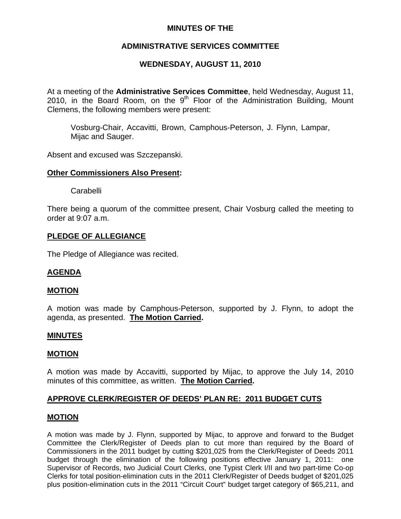# **MINUTES OF THE**

# **ADMINISTRATIVE SERVICES COMMITTEE**

# **WEDNESDAY, AUGUST 11, 2010**

At a meeting of the **Administrative Services Committee**, held Wednesday, August 11, 2010, in the Board Room, on the  $9<sup>th</sup>$  Floor of the Administration Building, Mount Clemens, the following members were present:

Vosburg-Chair, Accavitti, Brown, Camphous-Peterson, J. Flynn, Lampar, Mijac and Sauger.

Absent and excused was Szczepanski.

#### **Other Commissioners Also Present:**

Carabelli

There being a quorum of the committee present, Chair Vosburg called the meeting to order at 9:07 a.m.

## **PLEDGE OF ALLEGIANCE**

The Pledge of Allegiance was recited.

## **AGENDA**

#### **MOTION**

A motion was made by Camphous-Peterson, supported by J. Flynn, to adopt the agenda, as presented. **The Motion Carried.** 

## **MINUTES**

#### **MOTION**

A motion was made by Accavitti, supported by Mijac, to approve the July 14, 2010 minutes of this committee, as written. **The Motion Carried.** 

## **APPROVE CLERK/REGISTER OF DEEDS' PLAN RE: 2011 BUDGET CUTS**

#### **MOTION**

A motion was made by J. Flynn, supported by Mijac, to approve and forward to the Budget Committee the Clerk/Register of Deeds plan to cut more than required by the Board of Commissioners in the 2011 budget by cutting \$201,025 from the Clerk/Register of Deeds 2011 budget through the elimination of the following positions effective January 1, 2011: one Supervisor of Records, two Judicial Court Clerks, one Typist Clerk I/II and two part-time Co-op Clerks for total position-elimination cuts in the 2011 Clerk/Register of Deeds budget of \$201,025 plus position-elimination cuts in the 2011 "Circuit Court" budget target category of \$65,211, and